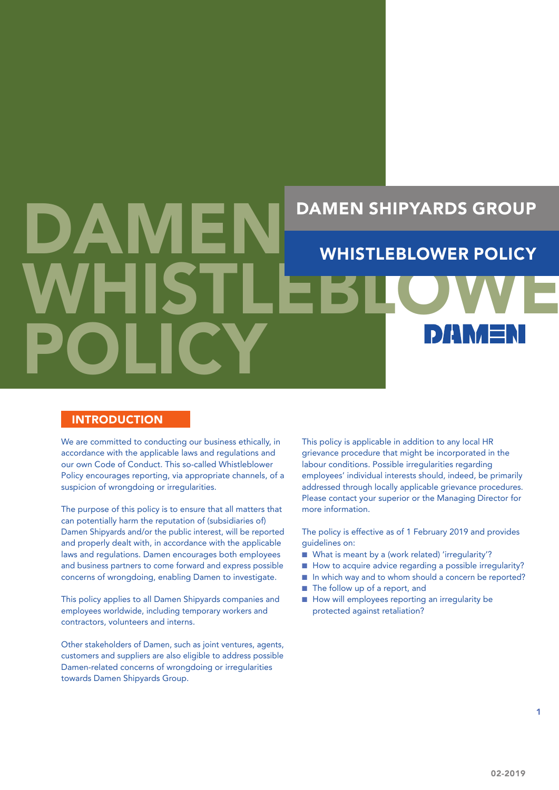# DAMEN WHISTLEBLOWE POLICY DAMEN SHIPYARDS GROUP WHISTLEBLOWER POLICY

## **INTRODUCTION**

We are committed to conducting our business ethically, in accordance with the applicable laws and regulations and our own Code of Conduct. This so-called Whistleblower Policy encourages reporting, via appropriate channels, of a suspicion of wrongdoing or irregularities.

The purpose of this policy is to ensure that all matters that can potentially harm the reputation of (subsidiaries of) Damen Shipyards and/or the public interest, will be reported and properly dealt with, in accordance with the applicable laws and regulations. Damen encourages both employees and business partners to come forward and express possible concerns of wrongdoing, enabling Damen to investigate.

This policy applies to all Damen Shipyards companies and employees worldwide, including temporary workers and contractors, volunteers and interns.

Other stakeholders of Damen, such as joint ventures, agents, customers and suppliers are also eligible to address possible Damen-related concerns of wrongdoing or irregularities towards Damen Shipyards Group.

This policy is applicable in addition to any local HR grievance procedure that might be incorporated in the labour conditions. Possible irregularities regarding employees' individual interests should, indeed, be primarily addressed through locally applicable grievance procedures. Please contact your superior or the Managing Director for more information.

The policy is effective as of 1 February 2019 and provides guidelines on:

- What is meant by a (work related) 'irregularity'?
- $\blacksquare$  How to acquire advice regarding a possible irregularity?
- In which way and to whom should a concern be reported?
- The follow up of a report, and
- How will employees reporting an irregularity be protected against retaliation?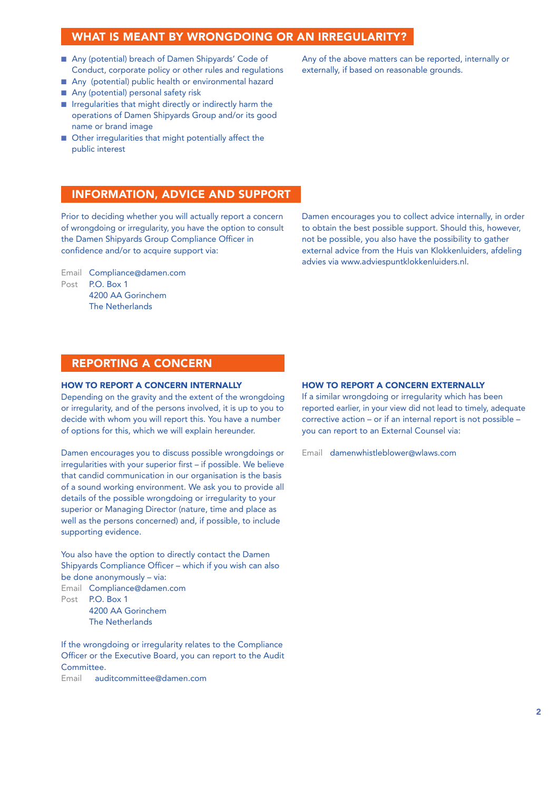## WHAT IS MEANT BY WRONGDOING OR AN IRREGULARITY?

- Any (potential) breach of Damen Shipyards' Code of Conduct, corporate policy or other rules and regulations
- Any (potential) public health or environmental hazard
- Any (potential) personal safety risk
- $\blacksquare$  Irregularities that might directly or indirectly harm the operations of Damen Shipyards Group and/or its good name or brand image
- Other irregularities that might potentially affect the public interest

Any of the above matters can be reported, internally or externally, if based on reasonable grounds.

## INFORMATION, ADVICE AND SUPPORT

Prior to deciding whether you will actually report a concern of wrongdoing or irregularity, you have the option to consult the Damen Shipyards Group Compliance Officer in confidence and/or to acquire support via:

Damen encourages you to collect advice internally, in order to obtain the best possible support. Should this, however, not be possible, you also have the possibility to gather external advice from the Huis van Klokkenluiders, afdeling advies via www.adviespuntklokkenluiders.nl.

Email Compliance@damen.com Post P.O. Box 1 4200 AA Gorinchem The Netherlands

### REPORTING A CONCERN

#### HOW TO REPORT A CONCERN INTERNALLY

Depending on the gravity and the extent of the wrongdoing or irregularity, and of the persons involved, it is up to you to decide with whom you will report this. You have a number of options for this, which we will explain hereunder.

Damen encourages you to discuss possible wrongdoings or irregularities with your superior first – if possible. We believe that candid communication in our organisation is the basis of a sound working environment. We ask you to provide all details of the possible wrongdoing or irregularity to your superior or Managing Director (nature, time and place as well as the persons concerned) and, if possible, to include supporting evidence.

You also have the option to directly contact the Damen Shipyards Compliance Officer – which if you wish can also be done anonymously – via: Email Compliance@damen.com

Post P.O. Box 1 4200 AA Gorinchem The Netherlands

If the wrongdoing or irregularity relates to the Compliance Officer or the Executive Board, you can report to the Audit Committee.

Email auditcommittee@damen.com

#### HOW TO REPORT A CONCERN EXTERNALLY

If a similar wrongdoing or irregularity which has been reported earlier, in your view did not lead to timely, adequate corrective action – or if an internal report is not possible – you can report to an External Counsel via:

Email damenwhistleblower@wlaws.com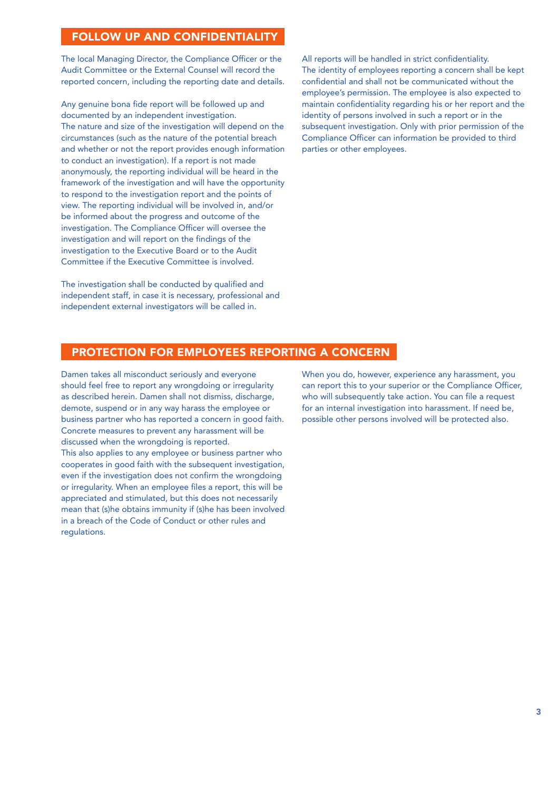## FOLLOW UP AND CONFIDENTIALITY

The local Managing Director, the Compliance Officer or the Audit Committee or the External Counsel will record the reported concern, including the reporting date and details.

Any genuine bona fide report will be followed up and documented by an independent investigation. The nature and size of the investigation will depend on the circumstances (such as the nature of the potential breach and whether or not the report provides enough information to conduct an investigation). If a report is not made anonymously, the reporting individual will be heard in the framework of the investigation and will have the opportunity to respond to the investigation report and the points of view. The reporting individual will be involved in, and/or be informed about the progress and outcome of the investigation. The Compliance Officer will oversee the investigation and will report on the findings of the investigation to the Executive Board or to the Audit Committee if the Executive Committee is involved.

The investigation shall be conducted by qualified and independent staff, in case it is necessary, professional and independent external investigators will be called in.

All reports will be handled in strict confidentiality. The identity of employees reporting a concern shall be kept confidential and shall not be communicated without the employee's permission. The employee is also expected to maintain confidentiality regarding his or her report and the identity of persons involved in such a report or in the subsequent investigation. Only with prior permission of the Compliance Officer can information be provided to third parties or other employees.

## PROTECTION FOR EMPLOYEES REPORTING A CONCERN

Damen takes all misconduct seriously and everyone should feel free to report any wrongdoing or irregularity as described herein. Damen shall not dismiss, discharge, demote, suspend or in any way harass the employee or business partner who has reported a concern in good faith. Concrete measures to prevent any harassment will be discussed when the wrongdoing is reported. This also applies to any employee or business partner who cooperates in good faith with the subsequent investigation, even if the investigation does not confirm the wrongdoing or irregularity. When an employee files a report, this will be appreciated and stimulated, but this does not necessarily mean that (s)he obtains immunity if (s)he has been involved in a breach of the Code of Conduct or other rules and regulations.

When you do, however, experience any harassment, you can report this to your superior or the Compliance Officer, who will subsequently take action. You can file a request for an internal investigation into harassment. If need be, possible other persons involved will be protected also.